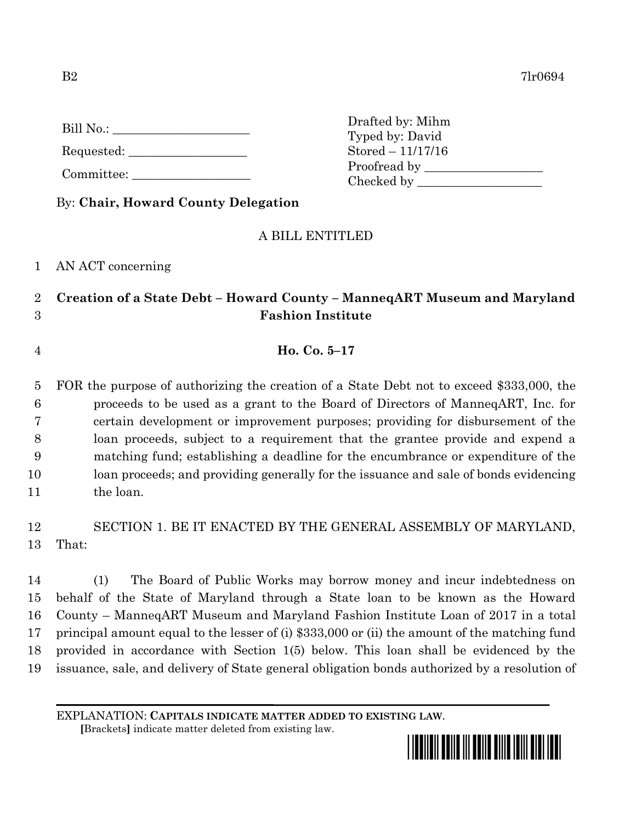| Bill No.: |  |
|-----------|--|
|           |  |

Requested:

Committee:

By: **Chair, Howard County Delegation**

## A BILL ENTITLED

Drafted by: Mihm Typed by: David Stored – 11/17/16

Proofread by Checked by \_\_\_\_\_\_\_\_\_\_\_\_\_\_\_\_\_\_\_\_

1 AN ACT concerning

## 2 **Creation of a State Debt – Howard County – ManneqART Museum and Maryland**  3 **Fashion Institute**

4 **Ho. Co. 5–17**

 FOR the purpose of authorizing the creation of a State Debt not to exceed \$333,000, the proceeds to be used as a grant to the Board of Directors of ManneqART, Inc. for certain development or improvement purposes; providing for disbursement of the loan proceeds, subject to a requirement that the grantee provide and expend a matching fund; establishing a deadline for the encumbrance or expenditure of the loan proceeds; and providing generally for the issuance and sale of bonds evidencing 11 the loan.

12 SECTION 1. BE IT ENACTED BY THE GENERAL ASSEMBLY OF MARYLAND, 13 That:

 (1) The Board of Public Works may borrow money and incur indebtedness on behalf of the State of Maryland through a State loan to be known as the Howard County – ManneqART Museum and Maryland Fashion Institute Loan of 2017 in a total principal amount equal to the lesser of (i) \$333,000 or (ii) the amount of the matching fund provided in accordance with Section 1(5) below. This loan shall be evidenced by the issuance, sale, and delivery of State general obligation bonds authorized by a resolution of

EXPLANATION: **CAPITALS INDICATE MATTER ADDED TO EXISTING LAW**.

 **[**Brackets**]** indicate matter deleted from existing law.

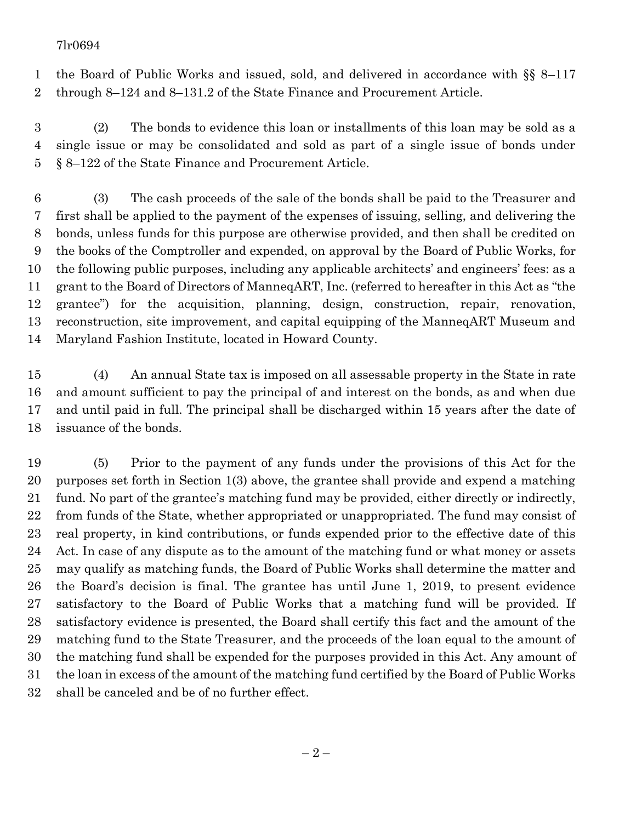## 7lr0694

 the Board of Public Works and issued, sold, and delivered in accordance with §§ 8–117 through 8–124 and 8–131.2 of the State Finance and Procurement Article.

 (2) The bonds to evidence this loan or installments of this loan may be sold as a single issue or may be consolidated and sold as part of a single issue of bonds under § 8–122 of the State Finance and Procurement Article.

 (3) The cash proceeds of the sale of the bonds shall be paid to the Treasurer and first shall be applied to the payment of the expenses of issuing, selling, and delivering the bonds, unless funds for this purpose are otherwise provided, and then shall be credited on the books of the Comptroller and expended, on approval by the Board of Public Works, for the following public purposes, including any applicable architects' and engineers' fees: as a grant to the Board of Directors of ManneqART, Inc. (referred to hereafter in this Act as "the grantee") for the acquisition, planning, design, construction, repair, renovation, reconstruction, site improvement, and capital equipping of the ManneqART Museum and Maryland Fashion Institute, located in Howard County.

 (4) An annual State tax is imposed on all assessable property in the State in rate and amount sufficient to pay the principal of and interest on the bonds, as and when due and until paid in full. The principal shall be discharged within 15 years after the date of issuance of the bonds.

 (5) Prior to the payment of any funds under the provisions of this Act for the purposes set forth in Section 1(3) above, the grantee shall provide and expend a matching fund. No part of the grantee's matching fund may be provided, either directly or indirectly, from funds of the State, whether appropriated or unappropriated. The fund may consist of real property, in kind contributions, or funds expended prior to the effective date of this Act. In case of any dispute as to the amount of the matching fund or what money or assets may qualify as matching funds, the Board of Public Works shall determine the matter and the Board's decision is final. The grantee has until June 1, 2019, to present evidence satisfactory to the Board of Public Works that a matching fund will be provided. If satisfactory evidence is presented, the Board shall certify this fact and the amount of the matching fund to the State Treasurer, and the proceeds of the loan equal to the amount of the matching fund shall be expended for the purposes provided in this Act. Any amount of the loan in excess of the amount of the matching fund certified by the Board of Public Works shall be canceled and be of no further effect.